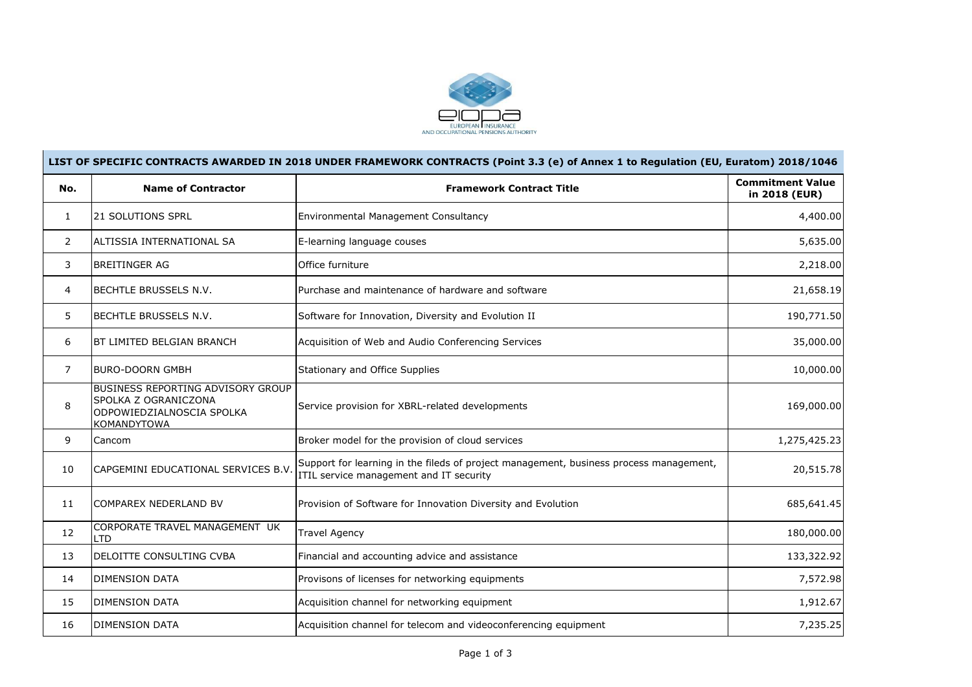

 $\sim$ 

| LIST OF SPECIFIC CONTRACTS AWARDED IN 2018 UNDER FRAMEWORK CONTRACTS (Point 3.3 (e) of Annex 1 to Regulation (EU, Euratom) 2018/1046 |                                                                                                       |                                                                                                                                   |                                          |  |  |
|--------------------------------------------------------------------------------------------------------------------------------------|-------------------------------------------------------------------------------------------------------|-----------------------------------------------------------------------------------------------------------------------------------|------------------------------------------|--|--|
| No.                                                                                                                                  | <b>Name of Contractor</b>                                                                             | <b>Framework Contract Title</b>                                                                                                   | <b>Commitment Value</b><br>in 2018 (EUR) |  |  |
| 1                                                                                                                                    | <b>21 SOLUTIONS SPRL</b>                                                                              | Environmental Management Consultancy                                                                                              | 4,400.00                                 |  |  |
| $\overline{2}$                                                                                                                       | ALTISSIA INTERNATIONAL SA                                                                             | E-learning language couses                                                                                                        | 5,635.00                                 |  |  |
| 3                                                                                                                                    | <b>BREITINGER AG</b>                                                                                  | Office furniture                                                                                                                  | 2,218.00                                 |  |  |
| 4                                                                                                                                    | BECHTLE BRUSSELS N.V.                                                                                 | Purchase and maintenance of hardware and software                                                                                 | 21,658.19                                |  |  |
| 5                                                                                                                                    | BECHTLE BRUSSELS N.V.                                                                                 | Software for Innovation, Diversity and Evolution II                                                                               | 190,771.50                               |  |  |
| 6                                                                                                                                    | BT LIMITED BELGIAN BRANCH                                                                             | Acquisition of Web and Audio Conferencing Services                                                                                | 35,000.00                                |  |  |
| 7                                                                                                                                    | <b>BURO-DOORN GMBH</b>                                                                                | Stationary and Office Supplies                                                                                                    | 10,000.00                                |  |  |
| 8                                                                                                                                    | BUSINESS REPORTING ADVISORY GROUP<br>SPOLKA Z OGRANICZONA<br>ODPOWIEDZIALNOSCIA SPOLKA<br>KOMANDYTOWA | Service provision for XBRL-related developments                                                                                   | 169,000.00                               |  |  |
| 9                                                                                                                                    | Cancom                                                                                                | Broker model for the provision of cloud services                                                                                  | 1,275,425.23                             |  |  |
| 10                                                                                                                                   | CAPGEMINI EDUCATIONAL SERVICES B.V                                                                    | Support for learning in the fileds of project management, business process management,<br>ITIL service management and IT security | 20,515.78                                |  |  |
| 11                                                                                                                                   | <b>COMPAREX NEDERLAND BV</b>                                                                          | Provision of Software for Innovation Diversity and Evolution                                                                      | 685,641.45                               |  |  |
| 12                                                                                                                                   | CORPORATE TRAVEL MANAGEMENT UK<br><b>LTD</b>                                                          | <b>Travel Agency</b>                                                                                                              | 180,000.00                               |  |  |
| 13                                                                                                                                   | DELOITTE CONSULTING CVBA                                                                              | Financial and accounting advice and assistance                                                                                    | 133,322.92                               |  |  |
| 14                                                                                                                                   | <b>DIMENSION DATA</b>                                                                                 | Provisons of licenses for networking equipments                                                                                   | 7,572.98                                 |  |  |
| 15                                                                                                                                   | <b>DIMENSION DATA</b>                                                                                 | Acquisition channel for networking equipment                                                                                      | 1,912.67                                 |  |  |
| 16                                                                                                                                   | <b>DIMENSION DATA</b>                                                                                 | Acquisition channel for telecom and videoconferencing equipment                                                                   | 7,235.25                                 |  |  |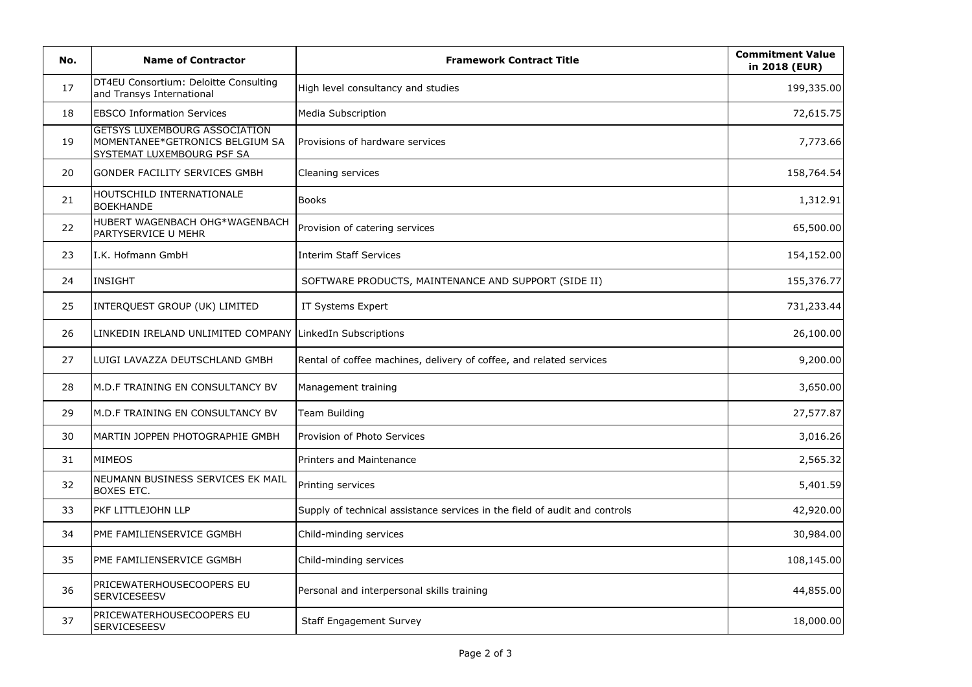| No. | <b>Name of Contractor</b>                                                                      | <b>Framework Contract Title</b>                                            | <b>Commitment Value</b><br>in 2018 (EUR) |
|-----|------------------------------------------------------------------------------------------------|----------------------------------------------------------------------------|------------------------------------------|
| 17  | DT4EU Consortium: Deloitte Consulting<br>and Transys International                             | High level consultancy and studies                                         | 199,335.00                               |
| 18  | <b>EBSCO Information Services</b>                                                              | Media Subscription                                                         | 72,615.75                                |
| 19  | GETSYS LUXEMBOURG ASSOCIATION<br>MOMENTANEE*GETRONICS BELGIUM SA<br>SYSTEMAT LUXEMBOURG PSF SA | Provisions of hardware services                                            | 7,773.66                                 |
| 20  | GONDER FACILITY SERVICES GMBH                                                                  | Cleaning services                                                          | 158,764.54                               |
| 21  | HOUTSCHILD INTERNATIONALE<br><b>BOEKHANDE</b>                                                  | <b>Books</b>                                                               | 1,312.91                                 |
| 22  | HUBERT WAGENBACH OHG*WAGENBACH<br>PARTYSERVICE U MEHR                                          | Provision of catering services                                             | 65,500.00                                |
| 23  | I.K. Hofmann GmbH                                                                              | <b>Interim Staff Services</b>                                              | 154,152.00                               |
| 24  | <b>INSIGHT</b>                                                                                 | SOFTWARE PRODUCTS, MAINTENANCE AND SUPPORT (SIDE II)                       | 155,376.77                               |
| 25  | INTERQUEST GROUP (UK) LIMITED                                                                  | IT Systems Expert                                                          | 731,233.44                               |
| 26  | LINKEDIN IRELAND UNLIMITED COMPANY                                                             | LinkedIn Subscriptions                                                     | 26,100.00                                |
| 27  | LUIGI LAVAZZA DEUTSCHLAND GMBH                                                                 | Rental of coffee machines, delivery of coffee, and related services        | 9,200.00                                 |
| 28  | M.D.F TRAINING EN CONSULTANCY BV                                                               | Management training                                                        | 3,650.00                                 |
| 29  | M.D.F TRAINING EN CONSULTANCY BV                                                               | Team Building                                                              | 27,577.87                                |
| 30  | MARTIN JOPPEN PHOTOGRAPHIE GMBH                                                                | Provision of Photo Services                                                | 3,016.26                                 |
| 31  | <b>MIMEOS</b>                                                                                  | Printers and Maintenance                                                   | 2,565.32                                 |
| 32  | NEUMANN BUSINESS SERVICES EK MAIL<br><b>BOXES ETC.</b>                                         | Printing services                                                          | 5,401.59                                 |
| 33  | PKF LITTLEJOHN LLP                                                                             | Supply of technical assistance services in the field of audit and controls | 42,920.00                                |
| 34  | PME FAMILIENSERVICE GGMBH                                                                      | Child-minding services                                                     | 30,984.00                                |
| 35  | PME FAMILIENSERVICE GGMBH                                                                      | Child-minding services                                                     | 108,145.00                               |
| 36  | PRICEWATERHOUSECOOPERS EU<br>SERVICESEESV                                                      | Personal and interpersonal skills training                                 | 44,855.00                                |
| 37  | PRICEWATERHOUSECOOPERS EU<br><b>SERVICESEESV</b>                                               | <b>Staff Engagement Survey</b>                                             | 18,000.00                                |